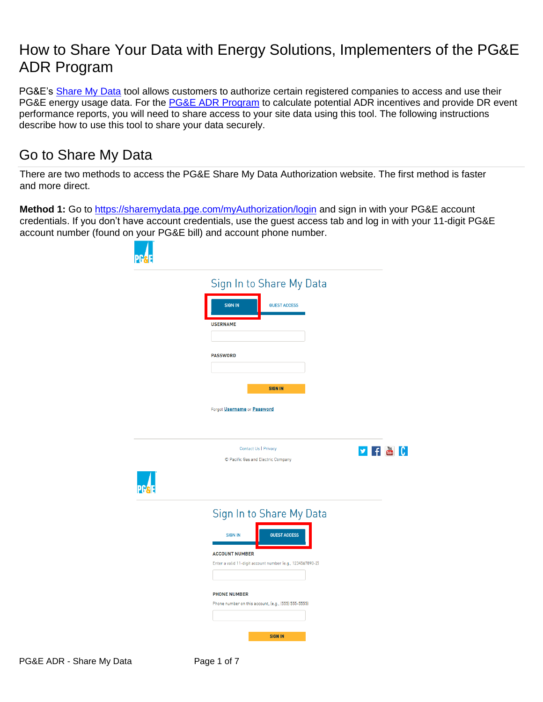# How to Share Your Data with Energy Solutions, Implementers of the PG&E ADR Program

PG&E's [Share My Data](https://www.pge.com/en_US/business/services/alternatives-to-pge/third-party-data-access/share-my-data.page) tool allows customers to authorize certain registered companies to access and use their PG&E energy usage data. For the [PG&E ADR Program](file:///C:/Users/durigwe/Desktop/pge-adr.com) to calculate potential ADR incentives and provide DR event performance reports, you will need to share access to your site data using this tool. The following instructions describe how to use this tool to share your data securely.

## Go to Share My Data

There are two methods to access the PG&E Share My Data Authorization website. The first method is faster and more direct.

Method 1: Go to<https://sharemydata.pge.com/myAuthorization/login> and sign in with your PG&E account credentials. If you don't have account credentials, use the guest access tab and log in with your 11-digit PG&E account number (found on your PG&E bill) and account phone number.

| Sign In to Share My Data                                                            |                                 |
|-------------------------------------------------------------------------------------|---------------------------------|
| <b>SIGN IN</b><br><b>GUEST ACCESS</b><br><b>USERNAME</b>                            |                                 |
| <b>PASSWORD</b>                                                                     |                                 |
| <b>SIGN IN</b>                                                                      |                                 |
| Forgot Username or Password                                                         |                                 |
| Contact Us   Privacy                                                                | $f$ $\frac{Y_{01}}{100}$<br>IC. |
| © Pacific Gas and Electric Company                                                  |                                 |
| Sign In to Share My Data                                                            |                                 |
| <b>GUEST ACCESS</b><br><b>SIGN IN</b>                                               |                                 |
| <b>ACCOUNT NUMBER</b><br>Enter a valid 11-digit account number (e.g., 1234567890-2) |                                 |
|                                                                                     |                                 |
| <b>PHONE NUMBER</b>                                                                 |                                 |
| Phone number on this account, (e.g., (555) 555-5555)                                |                                 |
| <b>SIGN IN</b>                                                                      |                                 |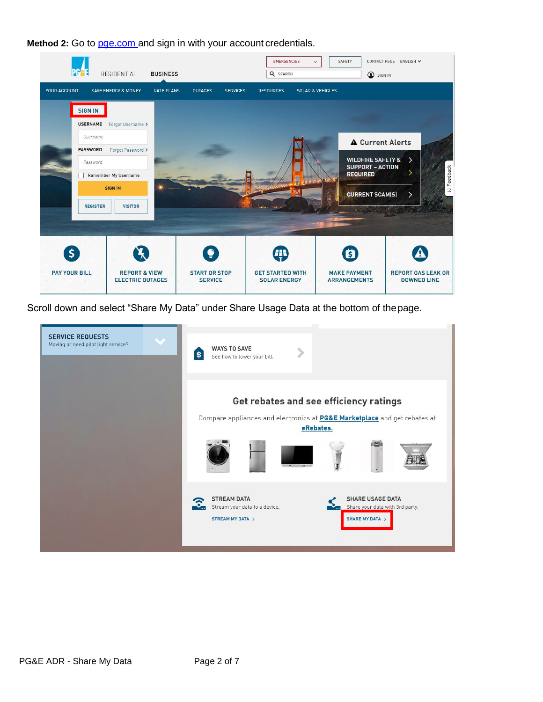Method 2: Go to pge.com and sign in with your account credentials.



Scroll down and select "Share My Data" under Share Usage Data at the bottom of thepage.

| <b>SERVICE REQUESTS</b><br>$\checkmark$<br>Moving or need pilot light service? | <b>WAYS TO SAVE</b><br>⇘<br>$\bullet$<br>See how to lower your bill.                                                                        |
|--------------------------------------------------------------------------------|---------------------------------------------------------------------------------------------------------------------------------------------|
|                                                                                | Get rebates and see efficiency ratings<br>Compare appliances and electronics at <b>PG&amp;E Marketplace</b> and get rebates at<br>eRebates. |
|                                                                                | <b>STREAM DATA</b><br><b>SHARE USAGE DATA</b>                                                                                               |
|                                                                                | Stream your data to a device.<br>Share your data with 3rd party.<br><b>SHARE MY DATA &gt;</b><br>STREAM MY DATA >                           |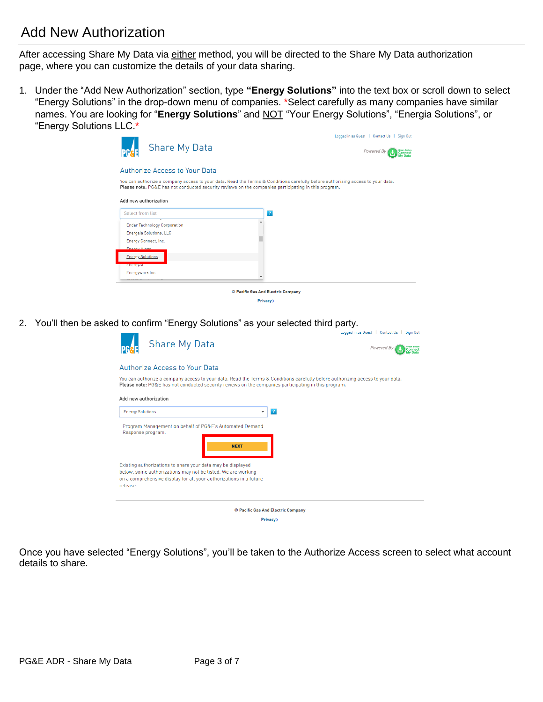## Add New Authorization

After accessing Share My Data via either method, you will be directed to the Share My Data authorization page, where you can customize the details of your data sharing.

1. Under the "Add New Authorization" section, type **"Energy Solutions"** into the text box or scroll down to select "Energy Solutions" in the drop-down menu of companies. \*Select carefully as many companies have similar names. You are looking for "**Energy Solutions**" and NOT "Your Energy Solutions", "Energia Solutions", or "Energy Solutions LLC.\*

| Share My Data                                                                                                                                                                                                                                                   |                                                | Logged in as Guest   Contact Us   Sign Out<br>Powered By<br><b>Connect</b> |
|-----------------------------------------------------------------------------------------------------------------------------------------------------------------------------------------------------------------------------------------------------------------|------------------------------------------------|----------------------------------------------------------------------------|
| Authorize Access to Your Data                                                                                                                                                                                                                                   |                                                |                                                                            |
| You can authorize a company access to your data. Read the Terms & Conditions carefully before authorizing access to your data.<br>Please note: PG&E has not conducted security reviews on the companies participating in this program.<br>Add new authorization |                                                |                                                                            |
| Select from list                                                                                                                                                                                                                                                | $\overline{?}$                                 |                                                                            |
| <b>Ender Technology Corporation</b><br><b>Energeia Solutions, LLC</b><br>Energy Connect, Inc.<br>Foarow Hinno<br><b>Energy Solutions</b><br><b>ENERGYAY</b><br>Energyworx Inc.<br>material contracts                                                            |                                                |                                                                            |
|                                                                                                                                                                                                                                                                 | © Pacific Gas And Electric Company<br>Privacy> |                                                                            |

2. You'll then be asked to confirm "Energy Solutions" as your selected third party.

| <b>Share My Data</b>                                                                                                                                                                                                                                                    | Lodged in as Guest   Contact Us   Sign Out<br>Powered B  |
|-------------------------------------------------------------------------------------------------------------------------------------------------------------------------------------------------------------------------------------------------------------------------|----------------------------------------------------------|
| Authorize Access to Your Data<br>You can authorize a company access to your data. Read the Terms & Conditions carefully before authorizing access to your data.<br>Please note: PG&E has not conducted security reviews on the companies participating in this program. |                                                          |
| Add new authorization<br><b>Energy Solutions</b>                                                                                                                                                                                                                        | ?                                                        |
| Program Management on behalf of PG&E's Automated Demand<br>Response program.<br><b>NEXT</b>                                                                                                                                                                             |                                                          |
| Existing authorizations to share your data may be displayed<br>below; some authorizations may not be listed. We are working<br>on a comprehensive display for all your authorizations in a future<br>release.                                                           |                                                          |
|                                                                                                                                                                                                                                                                         | © Pacific Gas And Electric Company<br><b>Privacy&gt;</b> |

Once you have selected "Energy Solutions", you'll be taken to the Authorize Access screen to select what account details to share.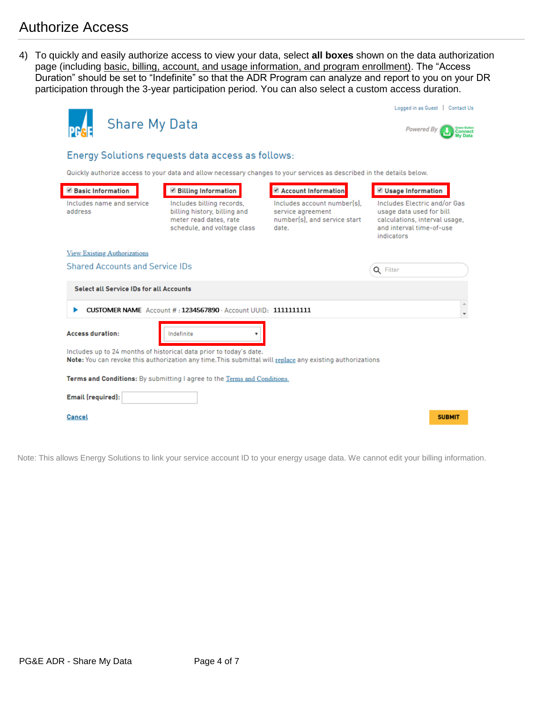## Authorize Access

4) To quickly and easily authorize access to view your data, select **all boxes** shown on the data authorization page (including basic, billing, account, and usage information, and program enrollment). The "Access Duration" should be set to "Indefinite" so that the ADR Program can analyze and report to you on your DR participation through the 3-year participation period. You can also select a custom access duration.

| <b>Share My Data</b>                                                                                                                                                                                                                                                                                                                     | Powered By<br>Connect                                                                                                                                    |
|------------------------------------------------------------------------------------------------------------------------------------------------------------------------------------------------------------------------------------------------------------------------------------------------------------------------------------------|----------------------------------------------------------------------------------------------------------------------------------------------------------|
| Energy Solutions requests data access as follows:                                                                                                                                                                                                                                                                                        |                                                                                                                                                          |
| Quickly authorize access to your data and allow necessary changes to your services as described in the details below.                                                                                                                                                                                                                    |                                                                                                                                                          |
| <b>Basic Information</b><br><b>Billing Information</b><br>Account Information<br>Includes name and service<br>Includes billing records,<br>Includes account number[s].<br>address<br>billing history, billing and<br>service agreement<br>number[s], and service start<br>meter read dates, rate<br>schedule, and voltage class<br>date. | Usage Information<br>Includes Electric and/or Gas<br>usage data used for bill<br>calculations, interval usage,<br>and interval time-of-use<br>indicators |
| <b>View Existing Authorizations</b>                                                                                                                                                                                                                                                                                                      |                                                                                                                                                          |
| <b>Shared Accounts and Service IDs</b>                                                                                                                                                                                                                                                                                                   | Q Filter                                                                                                                                                 |
| Select all Service IDs for all Accounts                                                                                                                                                                                                                                                                                                  |                                                                                                                                                          |
| CUSTOMER NAME Account #: 1234567890 - Account UUID: 1111111111                                                                                                                                                                                                                                                                           |                                                                                                                                                          |
| <b>Access duration:</b><br>Indefinite<br>Includes up to 24 months of historical data prior to today's date.<br>Note: You can revoke this authorization any time. This submittal will replace any existing authorizations                                                                                                                 |                                                                                                                                                          |
| Terms and Conditions: By submitting I agree to the Terms and Conditions.                                                                                                                                                                                                                                                                 |                                                                                                                                                          |
| <b>Email (required):</b>                                                                                                                                                                                                                                                                                                                 |                                                                                                                                                          |
| <b>Cancel</b>                                                                                                                                                                                                                                                                                                                            | <b>SUBMIT</b>                                                                                                                                            |

Note: This allows Energy Solutions to link your service account ID to your energy usage data. We cannot edit your billing information.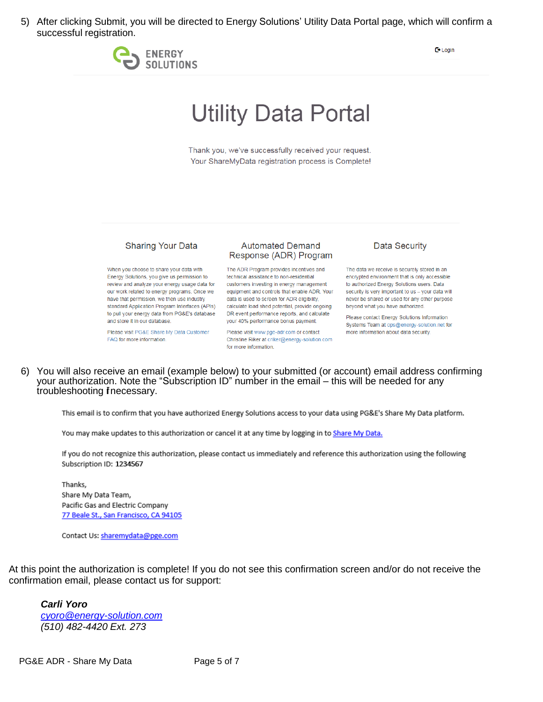5) After clicking Submit, you will be directed to Energy Solutions' Utility Data Portal page, which will confirm a successful registration.



 $\mathsf{C}$  Login

# **Utility Data Portal**

Thank you, we've successfully received your request. Your ShareMyData registration process is Complete!

## **Sharing Your Data**

When you choose to share your data with Energy Solutions, you give us permission to review and analyze your energy usage data for our work related to energy programs. Once we have that permission, we then use industry standard Application Program Interfaces (APIs) calculate load shed potential, provide ongoing to pull your energy data from PG&E's database and store it in our database.

Please visit PG&E Share My Data Customer FAQ for more information.

#### **Automated Demand** Response (ADR) Program

The ADR Program provides incentives and technical assistance to non-residential customers investing in energy management equipment and controls that enable ADR. Your data is used to screen for ADR eligibility, DR event performance reports, and calculate your 40% performance bonus payment.

Please visit www.pge-adr.com or contact Christine Riker at criker@energy-solution.com for more information.

### Data Security

The data we receive is securely stored in an encrypted environment that is only accessible to authorized Energy Solutions users. Data security is very important to us - your data will never be shared or used for any other purpose beyond what you have authorized.

Please contact Energy Solutions Information Systems Team at ops@energy-solution.net for more information about data security.

6) You will also receive an email (example below) to your submitted (or account) email address confirming your authorization. Note the "Subscription ID" number in the email – this will be needed for any troubleshooting fnecessary.

This email is to confirm that you have authorized Energy Solutions access to your data using PG&E's Share My Data platform.

You may make updates to this authorization or cancel it at any time by logging in to Share My Data.

If you do not recognize this authorization, please contact us immediately and reference this authorization using the following Subscription ID: 1234567

Thanks, Share My Data Team, Pacific Gas and Electric Company 77 Beale St., San Francisco, CA 94105

Contact Us: sharemydata@pge.com

At this point the authorization is complete! If you do not see this confirmation screen and/or do not receive the confirmation email, please contact us for support:

*Carli Yoro [cyoro@energy-solution.com](mailto:cyoro@energy-solution.com) (510) 482-4420 Ext. 273*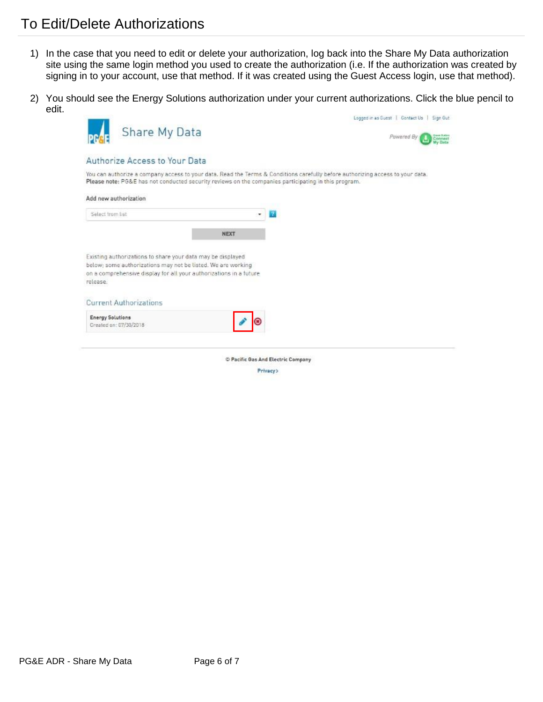## To Edit/Delete Authorizations

- 1) In the case that you need to edit or delete your authorization, log back into the Share My Data authorization site using the same login method you used to create the authorization (i.e. If the authorization was created by signing in to your account, use that method. If it was created using the Guest Access login, use that method).
- 2) You should see the Energy Solutions authorization under your current authorizations. Click the blue pencil to edit.Loaned in as Scient | Contact Us | Sign Out

| Share My Data                                                                                                               |                                                                                                                                                                                                                                        | Powered By<br>Comment<br>My Data |
|-----------------------------------------------------------------------------------------------------------------------------|----------------------------------------------------------------------------------------------------------------------------------------------------------------------------------------------------------------------------------------|----------------------------------|
| Authorize Access to Your Data                                                                                               |                                                                                                                                                                                                                                        |                                  |
|                                                                                                                             | You can authorize a company access to your data. Read the Terms & Conditions carefully before authorizing access to your data.<br>Please note: PG&E has not conducted security reviews on the companies participating in this program. |                                  |
| Add new authorization                                                                                                       |                                                                                                                                                                                                                                        |                                  |
| Select trom list                                                                                                            |                                                                                                                                                                                                                                        |                                  |
|                                                                                                                             | <b>NEXT</b>                                                                                                                                                                                                                            |                                  |
| Existing authorizations to share your data may be displayed<br>below; some authorizations may not be listed. We are working |                                                                                                                                                                                                                                        |                                  |
|                                                                                                                             |                                                                                                                                                                                                                                        |                                  |
| on a comprehensive display for all your authorizations in a future.<br>release.<br><b>Current Authorizations</b>            |                                                                                                                                                                                                                                        |                                  |

© Pacific Gas And Electric Company

Privacy>